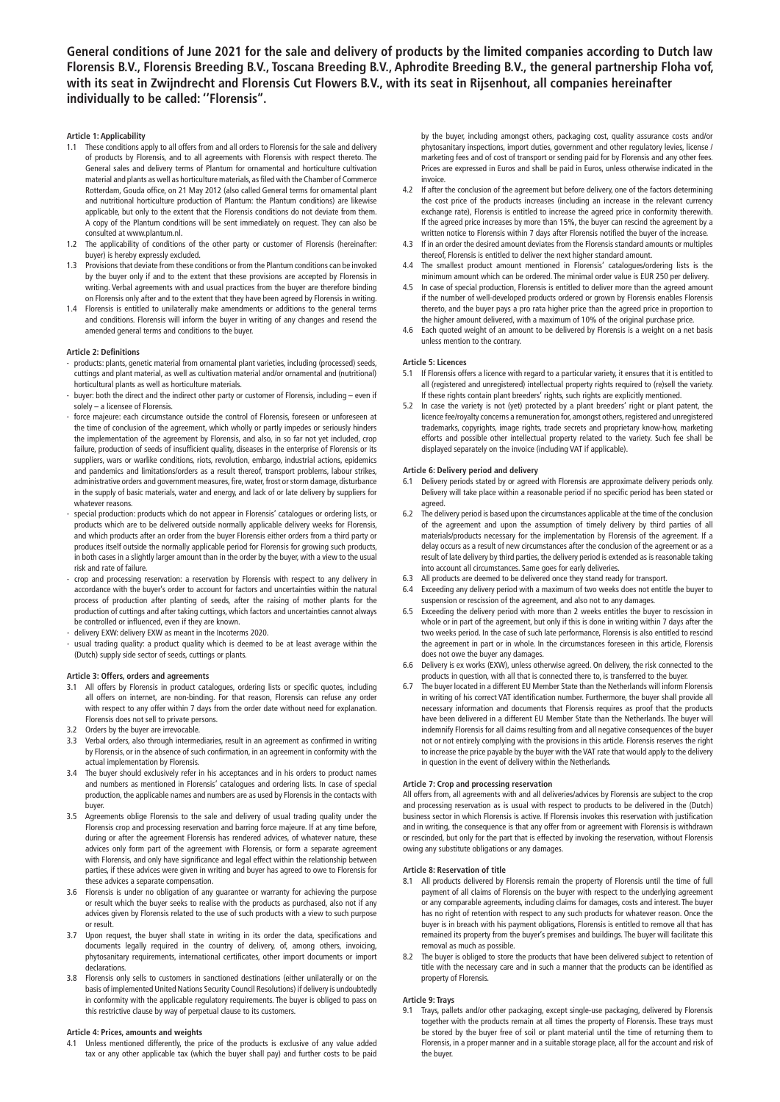**General conditions of June 2021 for the sale and delivery of products by the limited companies according to Dutch law Florensis B.V., Florensis Breeding B.V., Toscana Breeding B.V., Aphrodite Breeding B.V., the general partnership Floha vof, with its seat in Zwijndrecht and Florensis Cut Flowers B.V., with its seat in Rijsenhout, all companies hereinafter individually to be called: ''Florensis''.**

## **Article 1: Applicability**

- These conditions apply to all offers from and all orders to Florensis for the sale and delivery of products by Florensis, and to all agreements with Florensis with respect thereto. The General sales and delivery terms of Plantum for ornamental and horticulture cultivation material and plants as well as horticulture materials, as filed with the Chamber of Commerce Rotterdam, Gouda office, on 21 May 2012 (also called General terms for ornamental plant and nutritional horticulture production of Plantum: the Plantum conditions) are likewise applicable, but only to the extent that the Florensis conditions do not deviate from them. A copy of the Plantum conditions will be sent immediately on request. They can also be consulted at www.plantum.nl.
- 1.2 The applicability of conditions of the other party or customer of Florensis (hereinafter: buyer) is hereby expressly excluded.
- 1.3 Provisionsthat deviate from these conditions or from the Plantum conditionscan be invoked by the buyer only if and to the extent that these provisions are accepted by Florensis in writing. Verbal agreements with and usual practices from the buyer are therefore binding on Florensis only after and to the extent that they have been agreed by Florensis in writing.
- 1.4 Florensis is entitled to unilaterally make amendments or additions to the general terms and conditions. Florensis will inform the buyer in writing of any changes and resend the amended general terms and conditions to the buyer.

## **Article 2: Definitions**

- products: plants, genetic material from ornamental plant varieties, including (processed) seeds, cuttings and plant material, as well as cultivation material and/or ornamental and (nutritional) horticultural plants as well as horticulture materials.
- buyer: both the direct and the indirect other party or customer of Florensis, including even if solely – a licensee of Florensis.
- force majeure: each circumstance outside the control of Florensis, foreseen or unforeseen at the time of conclusion of the agreement, which wholly or partly impedes or seriously hinders the implementation of the agreement by Florensis, and also, in so far not yet included, crop failure, production of seeds of insufficient quality, diseases in the enterprise of Florensis or its suppliers, wars or warlike conditions, riots, revolution, embargo, industrial actions, epidemics and pandemics and limitations/orders as a result thereof, transport problems, labour strikes, administrative orders and government measures, fire,water, frost or storm damage, disturbance in the supply of basic materials, water and energy, and lack of or late delivery by suppliers for whatever reasons.
- special production: products which do not appear in Florensis' catalogues or ordering lists, or products which are to be delivered outside normally applicable delivery weeks for Florensis, and which products after an order from the buyer Florensis either orders from a third party or produces itself outside the normally applicable period for Florensis for growing such products, in both cases in a slightly larger amount than in the order by the buyer, with a view to the usual risk and rate of failure.
- crop and processing reservation: a reservation by Florensis with respect to any delivery in accordance with the buyer's order to account for factors and uncertainties within the natural process of production after planting of seeds, after the raising of mother plants for the production of cuttings and after taking cuttings, which factors and uncertainties cannot always be controlled or influenced, even if they are known.
- delivery EXW: delivery EXW as meant in the Incoterms 2020.
- usual trading quality: a product quality which is deemed to be at least average within the (Dutch) supply side sector of seeds, cuttings or plants.

### **Article 3: Offers, orders and agreements**

- 3.1 All offers by Florensis in product catalogues, ordering lists or specific quotes, including all offers on internet, are non-binding. For that reason, Florensis can refuse any order with respect to any offer within 7 days from the order date without need for explanation. Florensis does not sell to private persons.
- 3.2 Orders by the buyer are irrevocable.
- 3.3 Verbal orders, also through intermediaries, result in an agreement as confirmed in writing by Florensis, or in the absence of such confirmation, in an agreement in conformity with the actual implementation by Florensis.
- 3.4 The buyer should exclusively refer in his acceptances and in his orders to product names and numbers as mentioned in Florensis' catalogues and ordering lists. In case of special production, the applicable names and numbers are as used by Florensis in the contacts with buyer.
- 3.5 Agreements oblige Florensis to the sale and delivery of usual trading quality under the Florensis crop and processing reservation and barring force majeure. If at any time before, during or after the agreement Florensis has rendered advices, of whatever nature, these advices only form part of the agreement with Florensis, or form a separate agreement with Florensis, and only have significance and legal effect within the relationship between parties, if these advices were given in writing and buyer has agreed to owe to Florensis for these advices a separate compensation.
- 3.6 Florensis is under no obligation of any guarantee or warranty for achieving the purpose or result which the buyer seeks to realise with the products as purchased, also not if any advices given by Florensis related to the use of such products with a view to such purpose or result.
- 3.7 Upon request, the buyer shall state in writing in its order the data, specifications and documents legally required in the country of delivery, of, among others, invoicing, phytosanitary requirements, international certificates, other import documents or import declarations.
- 3.8 Florensis only sells to customers in sanctioned destinations (either unilaterally or on the basis of implemented United Nations Security Council Resolutions) if delivery is undoubtedly in conformity with the applicable regulatory requirements. The buyer is obliged to pass on this restrictive clause by way of perpetual clause to its customers.

## **Article 4: Prices, amounts and weights**

Unless mentioned differently, the price of the products is exclusive of any value added tax or any other applicable tax (which the buyer shall pay) and further costs to be paid

by the buyer, including amongst others, packaging cost, quality assurance costs and/or phytosanitary inspections, import duties, government and other regulatory levies, license / marketing fees and of cost of transport or sending paid for by Florensis and any other fees. Prices are expressed in Euros and shall be paid in Euros, unless otherwise indicated in the invoice.

- 4.2 If after the conclusion of the agreement but before delivery, one of the factors determining the cost price of the products increases (including an increase in the relevant currency exchange rate), Florensis is entitled to increase the agreed price in conformity therewith. If the agreed price increases by more than 15%, the buyer can rescind the agreement by a written notice to Florensis within 7 days after Florensis notified the buyer of the increase.
- 4.3 If in an order the desired amount deviates from the Florensis standard amounts or multiples thereof, Florensis is entitled to deliver the next higher standard amount.
- 4.4 The smallest product amount mentioned in Florensis' catalogues/ordering lists is the minimum amount which can be ordered. The minimal order value is EUR 250 per delivery.
- 4.5 In case of special production, Florensis is entitled to deliver more than the agreed amount if the number of well-developed products ordered or grown by Florensis enables Florensis thereto, and the buyer pays a pro rata higher price than the agreed price in proportion to the higher amount delivered, with a maximum of 10% of the original purchase price.
- 4.6 Each quoted weight of an amount to be delivered by Florensis is a weight on a net basis unless mention to the contrary.

### **Article 5: Licences**

- 5.1 If Florensis offers a licence with regard to a particular variety, it ensures that it is entitled to all (registered and unregistered) intellectual property rights required to (re)sell the variety. If these rights contain plant breeders' rights, such rights are explicitly mentioned.
- 5.2 In case the variety is not (yet) protected by a plant breeders' right or plant patent, the licence fee/royalty concerns a remuneration for, amongst others, registered and unregistered trademarks, copyrights, image rights, trade secrets and proprietary know-how, marketing efforts and possible other intellectual property related to the variety. Such fee shall be displayed separately on the invoice (including VAT if applicable).

### **Article 6: Delivery period and delivery**

- 6.1 Delivery periods stated by or agreed with Florensis are approximate delivery periods only. Delivery will take place within a reasonable period if no specific period has been stated or agreed.
- 6.2 The delivery period is based upon the circumstances applicable at the time of the conclusion of the agreement and upon the assumption of timely delivery by third parties of all materials/products necessary for the implementation by Florensis of the agreement. If a delay occurs as a result of new circumstances after the conclusion of the agreement or as a result of late delivery by third parties, the delivery period is extended as is reasonable taking into account all circumstances. Same goes for early deliveries.
- 6.3 All products are deemed to be delivered once they stand ready for transport.
- 6.4 Exceeding any delivery period with a maximum of two weeks does not entitle the buyer to suspension or rescission of the agreement, and also not to any damages.
- 6.5 Exceeding the delivery period with more than 2 weeks entitles the buyer to rescission in whole or in part of the agreement, but only if this is done in writing within 7 days after the two weeks period. In the case of such late performance, Florensis is also entitled to rescind the agreement in part or in whole. In the circumstances foreseen in this article, Florensis does not owe the buyer any damages.
- 6.6 Delivery is ex works (EXW), unless otherwise agreed. On delivery, the risk connected to the products in question, with all that is connected there to, is transferred to the buyer.
- The buyer located in a different EU Member State than the Netherlands will inform Florensis in writing of his correct VAT identification number. Furthermore, the buyer shall provide all necessary information and documents that Florensis requires as proof that the products have been delivered in a different EU Member State than the Netherlands. The buyer will indemnify Florensis for all claims resulting from and all negative consequences of the buyer not or not entirely complying with the provisions in this article. Florensis reserves the right to increase the price payable by the buyer with the VAT rate that would apply to the delivery in question in the event of delivery within the Netherlands.

### **Article 7: Crop and processing reservation**

All offers from, all agreements with and all deliveries/advices by Florensis are subject to the crop and processing reservation as is usual with respect to products to be delivered in the (Dutch) business sector in which Florensis is active. If Florensis invokes this reservation with justification and in writing, the consequence is that any offer from or agreement with Florensis is withdrawn or rescinded, but only for the part that is effected by invoking the reservation, without Florensis owing any substitute obligations or any damages.

### **Article 8: Reservation of title**

- All products delivered by Florensis remain the property of Florensis until the time of full payment of all claims of Florensis on the buyer with respect to the underlying agreement or any comparable agreements, including claims for damages, costs and interest. The buyer has no right of retention with respect to any such products for whatever reason. Once the buyer is in breach with his payment obligations, Florensis is entitled to remove all that has remained its property from the buyer's premises and buildings. The buyer will facilitate this removal as much as possible.
- 8.2 The buyer is obliged to store the products that have been delivered subject to retention of title with the necessary care and in such a manner that the products can be identified as property of Florensis.

## **Article 9: Trays**

9.1 Trays, pallets and/or other packaging, except single-use packaging, delivered by Florensis together with the products remain at all times the property of Florensis. These trays must be stored by the buyer free of soil or plant material until the time of returning them to Florensis, in a proper manner and in a suitable storage place, all for the account and risk of the buyer.